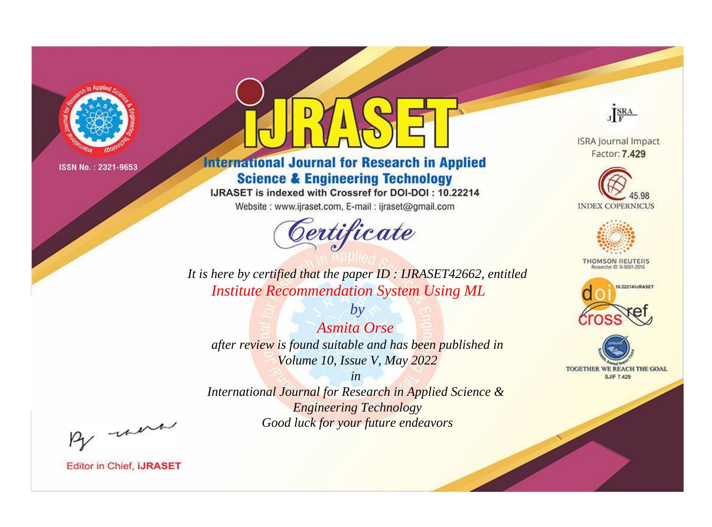

# **International Journal for Research in Applied Science & Engineering Technology**

IJRASET is indexed with Crossref for DOI-DOI: 10.22214

Website: www.ijraset.com, E-mail: ijraset@gmail.com



JERA

**ISRA Journal Impact** Factor: 7.429





**THOMSON REUTERS** 



TOGETHER WE REACH THE GOAL **SJIF 7.429** 

*It is here by certified that the paper ID : IJRASET42662, entitled Institute Recommendation System Using ML*

*by Asmita Orse after review is found suitable and has been published in Volume 10, Issue V, May 2022*

*in* 

*International Journal for Research in Applied Science & Engineering Technology Good luck for your future endeavors*

By morn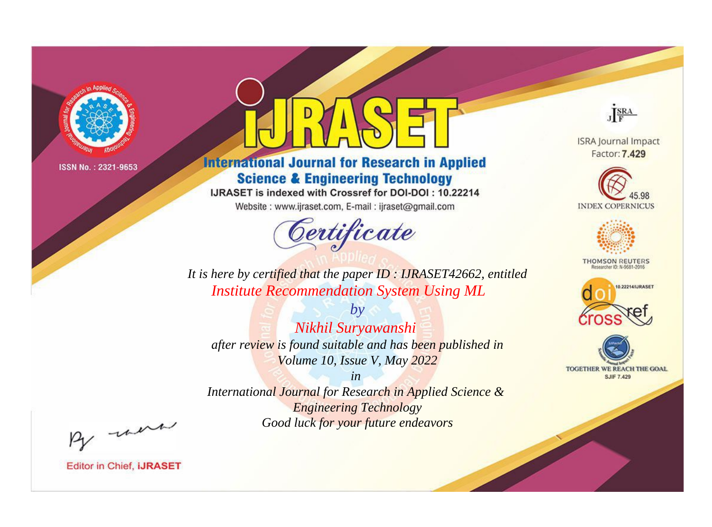

# **International Journal for Research in Applied Science & Engineering Technology**

IJRASET is indexed with Crossref for DOI-DOI: 10.22214

Website: www.ijraset.com, E-mail: ijraset@gmail.com



JERA

**ISRA Journal Impact** Factor: 7.429





**THOMSON REUTERS** 



TOGETHER WE REACH THE GOAL **SJIF 7.429** 

*It is here by certified that the paper ID : IJRASET42662, entitled Institute Recommendation System Using ML*

*Nikhil Suryawanshi after review is found suitable and has been published in Volume 10, Issue V, May 2022*

*by*

*in* 

*International Journal for Research in Applied Science & Engineering Technology Good luck for your future endeavors*

By morn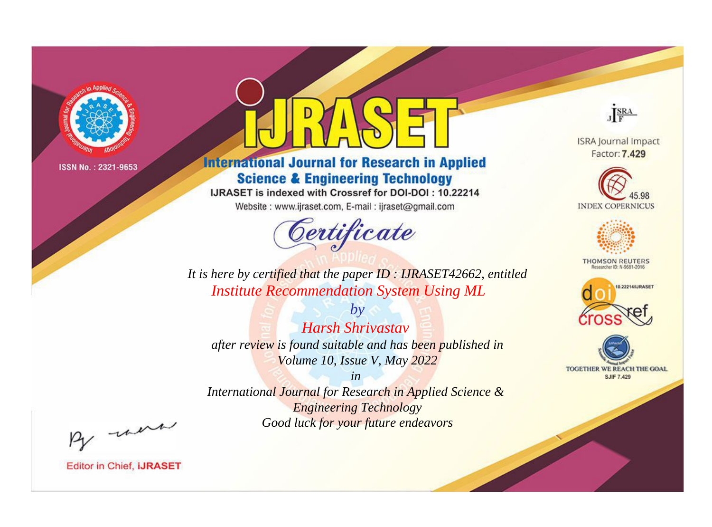

# **International Journal for Research in Applied Science & Engineering Technology**

IJRASET is indexed with Crossref for DOI-DOI: 10.22214

Website: www.ijraset.com, E-mail: ijraset@gmail.com



JERA

**ISRA Journal Impact** Factor: 7.429





**THOMSON REUTERS** 



TOGETHER WE REACH THE GOAL **SJIF 7.429** 

*It is here by certified that the paper ID : IJRASET42662, entitled Institute Recommendation System Using ML*

*by Harsh Shrivastav after review is found suitable and has been published in Volume 10, Issue V, May 2022*

*in* 

*International Journal for Research in Applied Science & Engineering Technology Good luck for your future endeavors*

By morn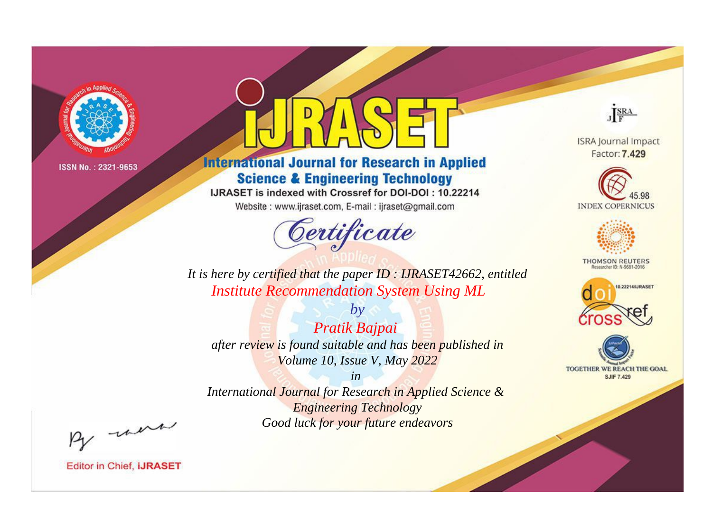

# **International Journal for Research in Applied Science & Engineering Technology**

IJRASET is indexed with Crossref for DOI-DOI: 10.22214

Website: www.ijraset.com, E-mail: ijraset@gmail.com



JERA

**ISRA Journal Impact** Factor: 7.429





**THOMSON REUTERS** 



TOGETHER WE REACH THE GOAL **SJIF 7.429** 

*It is here by certified that the paper ID : IJRASET42662, entitled Institute Recommendation System Using ML*

*by Pratik Bajpai after review is found suitable and has been published in Volume 10, Issue V, May 2022*

*in* 

*International Journal for Research in Applied Science & Engineering Technology Good luck for your future endeavors*

By morn